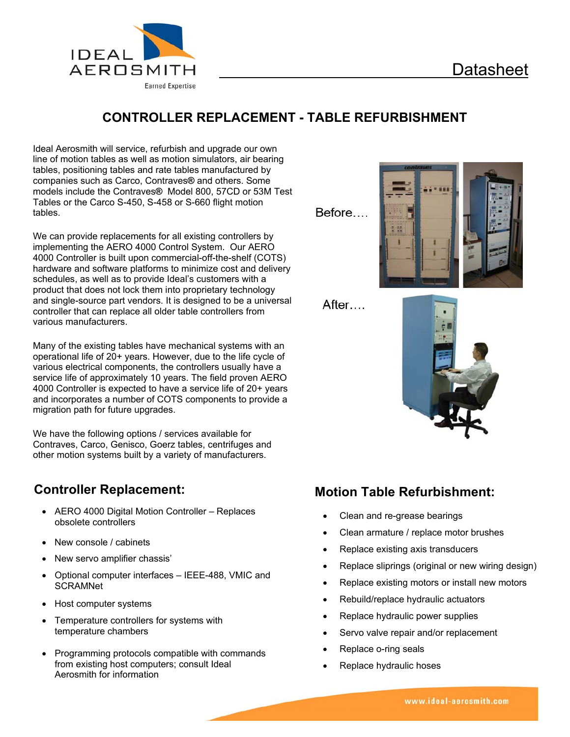

### **CONTROLLER REPLACEMENT - TABLE REFURBISHMENT**

Ideal Aerosmith will service, refurbish and upgrade our own line of motion tables as well as motion simulators, air bearing tables, positioning tables and rate tables manufactured by companies such as Carco, Contraves**®** and others. Some models include the Contraves**®** Model 800, 57CD or 53M Test Tables or the Carco S-450, S-458 or S-660 flight motion tables.

We can provide replacements for all existing controllers by implementing the AERO 4000 Control System. Our AERO 4000 Controller is built upon commercial-off-the-shelf (COTS) hardware and software platforms to minimize cost and delivery schedules, as well as to provide Ideal's customers with a product that does not lock them into proprietary technology and single-source part vendors. It is designed to be a universal controller that can replace all older table controllers from various manufacturers.

Many of the existing tables have mechanical systems with an operational life of 20+ years. However, due to the life cycle of various electrical components, the controllers usually have a service life of approximately 10 years. The field proven AERO 4000 Controller is expected to have a service life of 20+ years and incorporates a number of COTS components to provide a migration path for future upgrades.

We have the following options / services available for Contraves, Carco, Genisco, Goerz tables, centrifuges and other motion systems built by a variety of manufacturers.

#### **Controller Replacement:**

- AERO 4000 Digital Motion Controller Replaces obsolete controllers
- New console / cabinets
- New servo amplifier chassis'
- Optional computer interfaces IEEE-488, VMIC and **SCRAMNet**
- Host computer systems
- Temperature controllers for systems with temperature chambers
- Programming protocols compatible with commands from existing host computers; consult Ideal Aerosmith for information

Before...



After...



## **Motion Table Refurbishment:**

- Clean and re-grease bearings
- Clean armature / replace motor brushes
- Replace existing axis transducers
- Replace sliprings (original or new wiring design)
- Replace existing motors or install new motors
- Rebuild/replace hydraulic actuators
- Replace hydraulic power supplies
- Servo valve repair and/or replacement
- Replace o-ring seals
- Replace hydraulic hoses